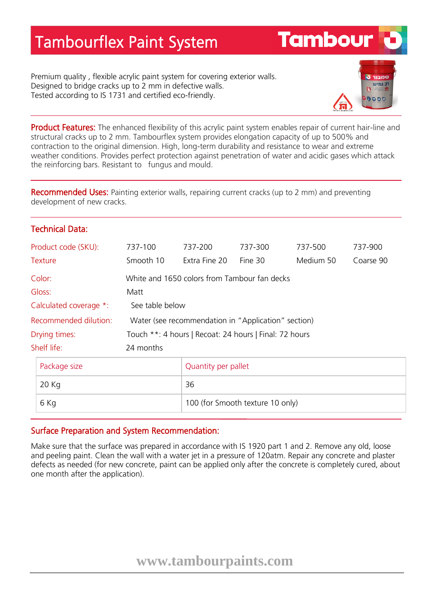## Tambourflex Paint System

Premium quality , flexible acrylic paint system for covering exterior walls. Designed to bridge cracks up to 2 mm in defective walls. Tested according to IS 1731 and certified eco-friendly.



**Tambour** 

Product Features: The enhanced flexibility of this acrylic paint system enables repair of current hair-line and structural cracks up to 2 mm. Tambourflex system provides elongation capacity of up to 500% and contraction to the original dimension. High, long-term durability and resistance to wear and extreme weather conditions. Provides perfect protection against penetration of water and acidic gases which attack the reinforcing bars. Resistant to fungus and mould.

Recommended Uses: Painting exterior walls, repairing current cracks (up to 2 mm) and preventing development of new cracks.

## Technical Data:

| Product code (SKU):    | 737-100                                                | 737-200                   | 737-300                          | 737-500   | 737-900   |
|------------------------|--------------------------------------------------------|---------------------------|----------------------------------|-----------|-----------|
| <b>Texture</b>         | Smooth 10                                              | Extra Fine 20             | Fine 30                          | Medium 50 | Coarse 90 |
| Color:                 | White and 1650 colors from Tambour fan decks           |                           |                                  |           |           |
| Gloss:                 | Matt                                                   |                           |                                  |           |           |
| Calculated coverage *: | See table below                                        |                           |                                  |           |           |
| Recommended dilution:  | Water (see recommendation in "Application" section)    |                           |                                  |           |           |
| Drying times:          | Touch **: 4 hours   Recoat: 24 hours   Final: 72 hours |                           |                                  |           |           |
| Shelf life:            | 24 months                                              |                           |                                  |           |           |
| Package size<br>20 Kg  |                                                        | Quantity per pallet<br>36 |                                  |           |           |
| 6 Kg                   |                                                        |                           | 100 (for Smooth texture 10 only) |           |           |

## Surface Preparation and System Recommendation:

Make sure that the surface was prepared in accordance with IS 1920 part 1 and 2. Remove any old, loose and peeling paint. Clean the wall with a water jet in a pressure of 120atm. Repair any concrete and plaster defects as needed (for new concrete, paint can be applied only after the concrete is completely cured, about one month after the application).